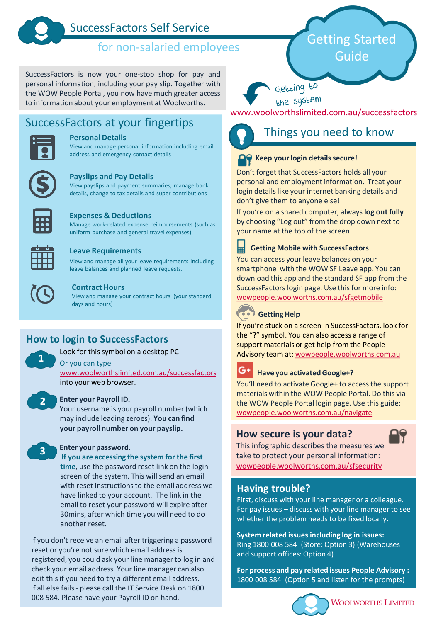

# SuccessFactors Self Service

# for non-salaried employees

SuccessFactors is now your one-stop shop for pay and personal information, including your pay slip. Together with the WOW People Portal, you now have much greater access to information about your employment at Woolworths.

# SuccessFactors at your fingertips



#### **Personal Details**

View and manage personal information including email address and emergency contact details



#### **Payslips and Pay Details**

View payslips and payment summaries, manage bank details, change to tax details and super contributions



#### **Expenses & Deductions**

Manage work-related expense reimbursements (such as uniform purchase and general travel expenses).



#### **Leave Requirements**

View and manage all your leave requirements including leave balances and planned leave requests.



**1**

**2**

**3**

#### **Contract Hours**

View and manage your contract hours (your standard days and hours)

## **How to login to SuccessFactors**

Look for this symbol on a desktop PC

Or you can type

[www.woolworthslimited.com.au/successfactors](http://www.woolworthslimited.com.au/successfactors) into your web browser.

#### **Enter your Payroll ID.**

Your username is your payroll number (which may include leading zeroes). **You can find your payroll number on your payslip.**

#### **Enter your password.**

**If you are accessing the system for the first time**, use the password reset link on the login screen of the system. This will send an email with reset instructions to the email address we have linked to your account. The link in the email to reset your password will expire after 30mins, after which time you will need to do another reset.

If you don't receive an email after triggering a password reset or you're not sure which email address is registered, you could ask your line manager to log in and check your email address. Your line manager can also edit this if you need to try a different email address. If all else fails - please call the IT Service Desk on 1800 008 584. Please have your Payroll ID on hand.

# Getting Started Guide

Getting to

the system

[www.woolworthslimited.com.au/successfactors](http://www.woolworthslimited.com.au/successfactors)



## Things you need to know

### **A. Keep your login details secure!**

Don't forget that SuccessFactors holds all your personal and employment information. Treat your login details like your internet banking details and don't give them to anyone else!

If you're on a shared computer, always**log out fully**  by choosing "Log out" from the drop down next to your name at the top of the screen.

畐 **Getting Mobile with SuccessFactors** You can access your leave balances on your

smartphone with the WOW SF Leave app. You can download this app and the standard SF app from the SuccessFactors login page. Use this for more info: <wowpeople.woolworths.com.au/sfgetmobile>



If you're stuck on a screen in SuccessFactors, look for the "**?**" symbol. You can also access a range of support materials or get help from the People Advisory team at: [wowpeople.woolworths.com.au](https://wowpeople.woolworths.com.au/)



### **Have you activated Google+?**

You'll need to activate Google+ to access the support materials within the WOW People Portal. Do this via the WOW People Portal login page. Use this guide: <wowpeople.woolworths.com.au/navigate>

## **How secure is your data?**



This infographic describes the measures we take to protect your personal information: <wowpeople.woolworths.com.au/sfsecurity>

## **Having trouble?**

First, discuss with your line manager or a colleague. For pay issues – discuss with your line manager to see whether the problem needs to be fixed locally.

**System related issues including log in issues:** Ring 1800 008 584 (Store: Option 3) (Warehouses and support offices: Option 4)

**For process and pay related issues People Advisory :**  1800 008 584 (Option 5 and listen for the prompts)